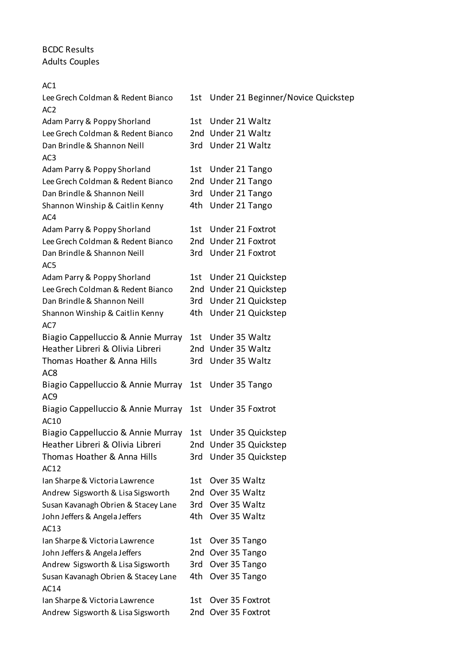## BCDC Results Adults Couples

## AC1

| Lee Grech Coldman & Redent Bianco<br>AC <sub>2</sub>  |     | 1st Under 21 Beginner/Novice Quickstep |
|-------------------------------------------------------|-----|----------------------------------------|
| Adam Parry & Poppy Shorland                           | 1st | Under 21 Waltz                         |
| Lee Grech Coldman & Redent Bianco                     |     | 2nd Under 21 Waltz                     |
| Dan Brindle & Shannon Neill<br>AC <sub>3</sub>        |     | 3rd Under 21 Waltz                     |
| Adam Parry & Poppy Shorland                           |     | 1st Under 21 Tango                     |
| Lee Grech Coldman & Redent Bianco                     |     | 2nd Under 21 Tango                     |
| Dan Brindle & Shannon Neill                           |     | 3rd Under 21 Tango                     |
| Shannon Winship & Caitlin Kenny<br>AC4                |     | 4th Under 21 Tango                     |
| Adam Parry & Poppy Shorland                           |     | 1st Under 21 Foxtrot                   |
| Lee Grech Coldman & Redent Bianco                     |     | 2nd Under 21 Foxtrot                   |
| Dan Brindle & Shannon Neill<br>AC5                    |     | 3rd Under 21 Foxtrot                   |
| Adam Parry & Poppy Shorland                           |     | 1st Under 21 Quickstep                 |
| Lee Grech Coldman & Redent Bianco                     |     | 2nd Under 21 Quickstep                 |
| Dan Brindle & Shannon Neill                           |     | 3rd Under 21 Quickstep                 |
| Shannon Winship & Caitlin Kenny<br>AC7                |     | 4th Under 21 Quickstep                 |
| Biagio Cappelluccio & Annie Murray                    |     | 1st Under 35 Waltz                     |
| Heather Libreri & Olivia Libreri                      |     | 2nd Under 35 Waltz                     |
| Thomas Hoather & Anna Hills<br>AC <sub>8</sub>        |     | 3rd Under 35 Waltz                     |
| Biagio Cappelluccio & Annie Murray<br>AC <sub>9</sub> |     | 1st Under 35 Tango                     |
| Biagio Cappelluccio & Annie Murray<br>AC10            |     | 1st Under 35 Foxtrot                   |
| Biagio Cappelluccio & Annie Murray                    |     | 1st Under 35 Quickstep                 |
| Heather Libreri & Olivia Libreri                      |     | 2nd Under 35 Quickstep                 |
| Thomas Hoather & Anna Hills<br>AC12                   | 3rd | Under 35 Quickstep                     |
| Ian Sharpe & Victoria Lawrence                        | 1st | Over 35 Waltz                          |
| Andrew Sigsworth & Lisa Sigsworth                     |     | 2nd Over 35 Waltz                      |
| Susan Kavanagh Obrien & Stacey Lane                   | 3rd | Over 35 Waltz                          |
| John Jeffers & Angela Jeffers<br>AC13                 | 4th | Over 35 Waltz                          |
| Ian Sharpe & Victoria Lawrence                        | 1st | Over 35 Tango                          |
| John Jeffers & Angela Jeffers                         |     | 2nd Over 35 Tango                      |
| Andrew Sigsworth & Lisa Sigsworth                     | 3rd | Over 35 Tango                          |
| Susan Kavanagh Obrien & Stacey Lane<br>AC14           | 4th | Over 35 Tango                          |
| Ian Sharpe & Victoria Lawrence                        | 1st | Over 35 Foxtrot                        |
| Andrew Sigsworth & Lisa Sigsworth                     |     | 2nd Over 35 Foxtrot                    |